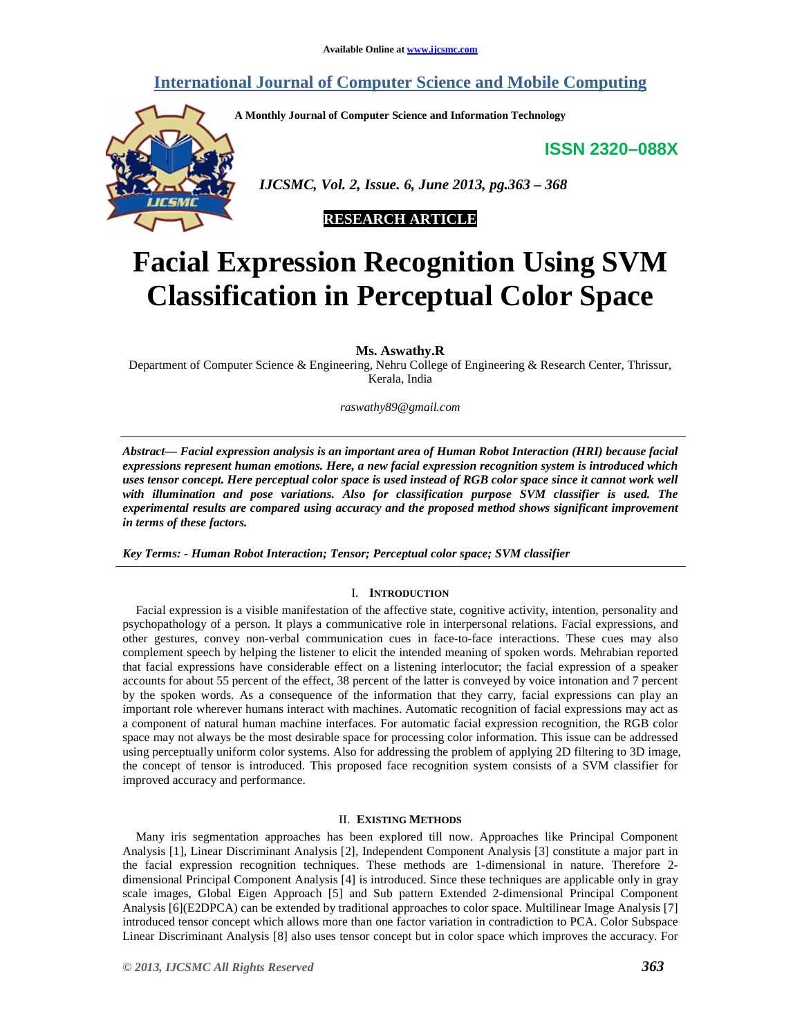# **International Journal of Computer Science and Mobile Computing**

**A Monthly Journal of Computer Science and Information Technology** 

**ISSN 2320–088X**



 *IJCSMC, Vol. 2, Issue. 6, June 2013, pg.363 – 368* 



# **Facial Expression Recognition Using SVM Classification in Perceptual Color Space**

**Ms. Aswathy.R** 

Department of Computer Science & Engineering, Nehru College of Engineering & Research Center, Thrissur, Kerala, India

*raswathy89@gmail.com*

*Abstract— Facial expression analysis is an important area of Human Robot Interaction (HRI) because facial expressions represent human emotions. Here, a new facial expression recognition system is introduced which uses tensor concept. Here perceptual color space is used instead of RGB color space since it cannot work well with illumination and pose variations. Also for classification purpose SVM classifier is used. The experimental results are compared using accuracy and the proposed method shows significant improvement in terms of these factors.* 

*Key Terms: - Human Robot Interaction; Tensor; Perceptual color space; SVM classifier* 

# I. **INTRODUCTION**

Facial expression is a visible manifestation of the affective state, cognitive activity, intention, personality and psychopathology of a person. It plays a communicative role in interpersonal relations. Facial expressions, and other gestures, convey non-verbal communication cues in face-to-face interactions. These cues may also complement speech by helping the listener to elicit the intended meaning of spoken words. Mehrabian reported that facial expressions have considerable effect on a listening interlocutor; the facial expression of a speaker accounts for about 55 percent of the effect, 38 percent of the latter is conveyed by voice intonation and 7 percent by the spoken words. As a consequence of the information that they carry, facial expressions can play an important role wherever humans interact with machines. Automatic recognition of facial expressions may act as a component of natural human machine interfaces. For automatic facial expression recognition, the RGB color space may not always be the most desirable space for processing color information. This issue can be addressed using perceptually uniform color systems. Also for addressing the problem of applying 2D filtering to 3D image, the concept of tensor is introduced. This proposed face recognition system consists of a SVM classifier for improved accuracy and performance.

# II. **EXISTING METHODS**

Many iris segmentation approaches has been explored till now. Approaches like Principal Component Analysis [1], Linear Discriminant Analysis [2], Independent Component Analysis [3] constitute a major part in the facial expression recognition techniques. These methods are 1-dimensional in nature. Therefore 2 dimensional Principal Component Analysis [4] is introduced. Since these techniques are applicable only in gray scale images, Global Eigen Approach [5] and Sub pattern Extended 2-dimensional Principal Component Analysis [6](E2DPCA) can be extended by traditional approaches to color space. Multilinear Image Analysis [7] introduced tensor concept which allows more than one factor variation in contradiction to PCA. Color Subspace Linear Discriminant Analysis [8] also uses tensor concept but in color space which improves the accuracy. For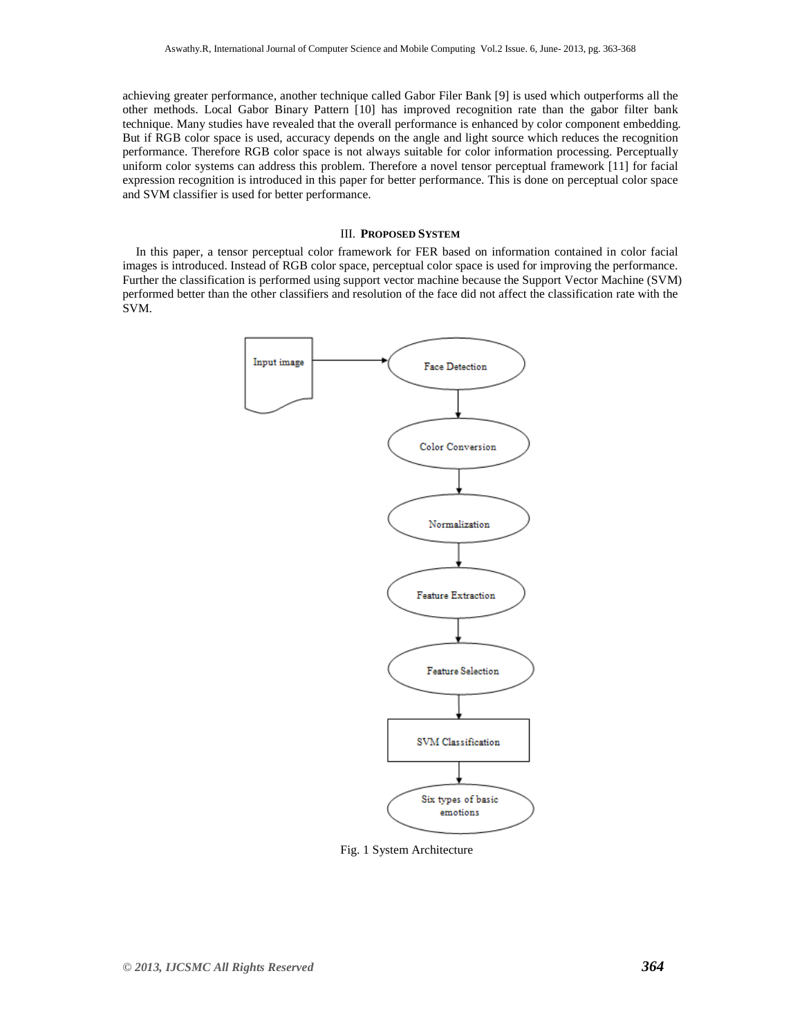achieving greater performance, another technique called Gabor Filer Bank [9] is used which outperforms all the other methods. Local Gabor Binary Pattern [10] has improved recognition rate than the gabor filter bank technique. Many studies have revealed that the overall performance is enhanced by color component embedding. But if RGB color space is used, accuracy depends on the angle and light source which reduces the recognition performance. Therefore RGB color space is not always suitable for color information processing. Perceptually uniform color systems can address this problem. Therefore a novel tensor perceptual framework [11] for facial expression recognition is introduced in this paper for better performance. This is done on perceptual color space and SVM classifier is used for better performance.

### III. **PROPOSED SYSTEM**

In this paper, a tensor perceptual color framework for FER based on information contained in color facial images is introduced. Instead of RGB color space, perceptual color space is used for improving the performance. Further the classification is performed using support vector machine because the Support Vector Machine (SVM) performed better than the other classifiers and resolution of the face did not affect the classification rate with the SVM.



Fig. 1 System Architecture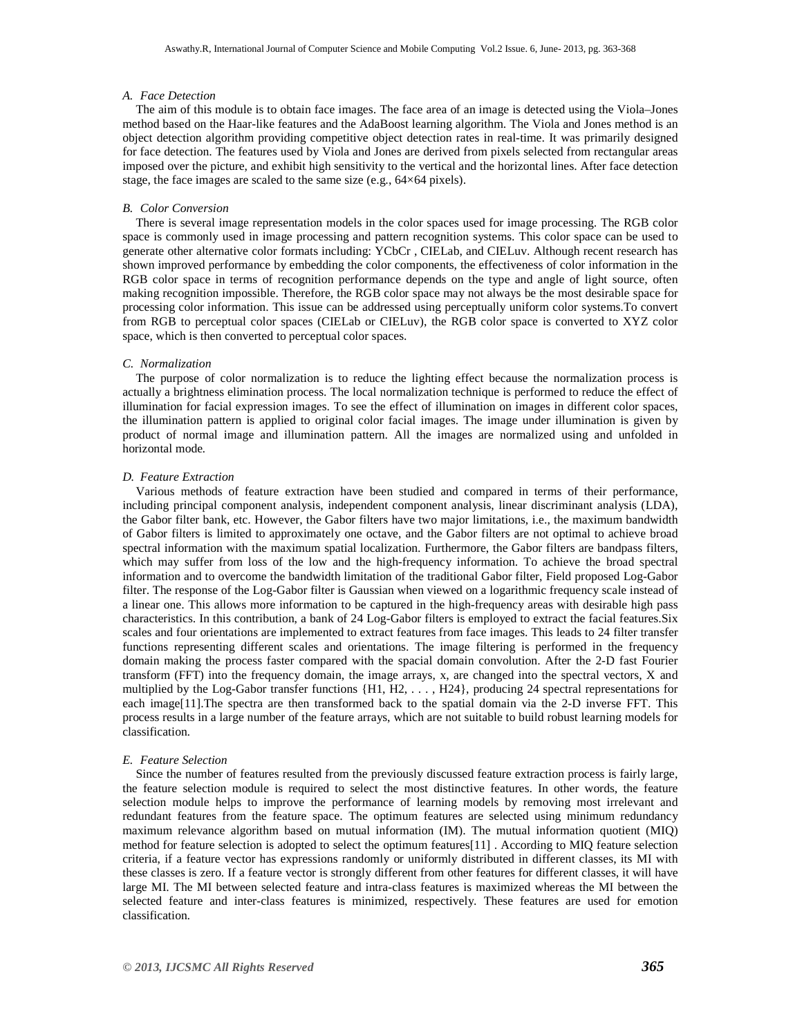#### *A. Face Detection*

The aim of this module is to obtain face images. The face area of an image is detected using the Viola–Jones method based on the Haar-like features and the AdaBoost learning algorithm. The Viola and Jones method is an object detection algorithm providing competitive object detection rates in real-time. It was primarily designed for face detection. The features used by Viola and Jones are derived from pixels selected from rectangular areas imposed over the picture, and exhibit high sensitivity to the vertical and the horizontal lines. After face detection stage, the face images are scaled to the same size (e.g., 64×64 pixels).

#### *B. Color Conversion*

There is several image representation models in the color spaces used for image processing. The RGB color space is commonly used in image processing and pattern recognition systems. This color space can be used to generate other alternative color formats including: YCbCr , CIELab, and CIELuv. Although recent research has shown improved performance by embedding the color components, the effectiveness of color information in the RGB color space in terms of recognition performance depends on the type and angle of light source, often making recognition impossible. Therefore, the RGB color space may not always be the most desirable space for processing color information. This issue can be addressed using perceptually uniform color systems.To convert from RGB to perceptual color spaces (CIELab or CIELuv), the RGB color space is converted to XYZ color space, which is then converted to perceptual color spaces.

#### *C. Normalization*

The purpose of color normalization is to reduce the lighting effect because the normalization process is actually a brightness elimination process. The local normalization technique is performed to reduce the effect of illumination for facial expression images. To see the effect of illumination on images in different color spaces, the illumination pattern is applied to original color facial images. The image under illumination is given by product of normal image and illumination pattern. All the images are normalized using and unfolded in horizontal mode*.* 

#### *D. Feature Extraction*

Various methods of feature extraction have been studied and compared in terms of their performance, including principal component analysis, independent component analysis, linear discriminant analysis (LDA), the Gabor filter bank, etc. However, the Gabor filters have two major limitations, i.e., the maximum bandwidth of Gabor filters is limited to approximately one octave, and the Gabor filters are not optimal to achieve broad spectral information with the maximum spatial localization. Furthermore, the Gabor filters are bandpass filters, which may suffer from loss of the low and the high-frequency information. To achieve the broad spectral information and to overcome the bandwidth limitation of the traditional Gabor filter, Field proposed Log-Gabor filter. The response of the Log-Gabor filter is Gaussian when viewed on a logarithmic frequency scale instead of a linear one. This allows more information to be captured in the high-frequency areas with desirable high pass characteristics. In this contribution, a bank of 24 Log-Gabor filters is employed to extract the facial features.Six scales and four orientations are implemented to extract features from face images. This leads to 24 filter transfer functions representing different scales and orientations. The image filtering is performed in the frequency domain making the process faster compared with the spacial domain convolution. After the 2-D fast Fourier transform (FFT) into the frequency domain, the image arrays, x, are changed into the spectral vectors, X and multiplied by the Log-Gabor transfer functions {H1, H2, . . . , H24}, producing 24 spectral representations for each image[11].The spectra are then transformed back to the spatial domain via the 2-D inverse FFT. This process results in a large number of the feature arrays, which are not suitable to build robust learning models for classification*.* 

#### *E. Feature Selection*

Since the number of features resulted from the previously discussed feature extraction process is fairly large, the feature selection module is required to select the most distinctive features. In other words, the feature selection module helps to improve the performance of learning models by removing most irrelevant and redundant features from the feature space. The optimum features are selected using minimum redundancy maximum relevance algorithm based on mutual information (IM). The mutual information quotient (MIQ) method for feature selection is adopted to select the optimum features[11] . According to MIQ feature selection criteria, if a feature vector has expressions randomly or uniformly distributed in different classes, its MI with these classes is zero. If a feature vector is strongly different from other features for different classes, it will have large MI. The MI between selected feature and intra-class features is maximized whereas the MI between the selected feature and inter-class features is minimized, respectively. These features are used for emotion classification*.*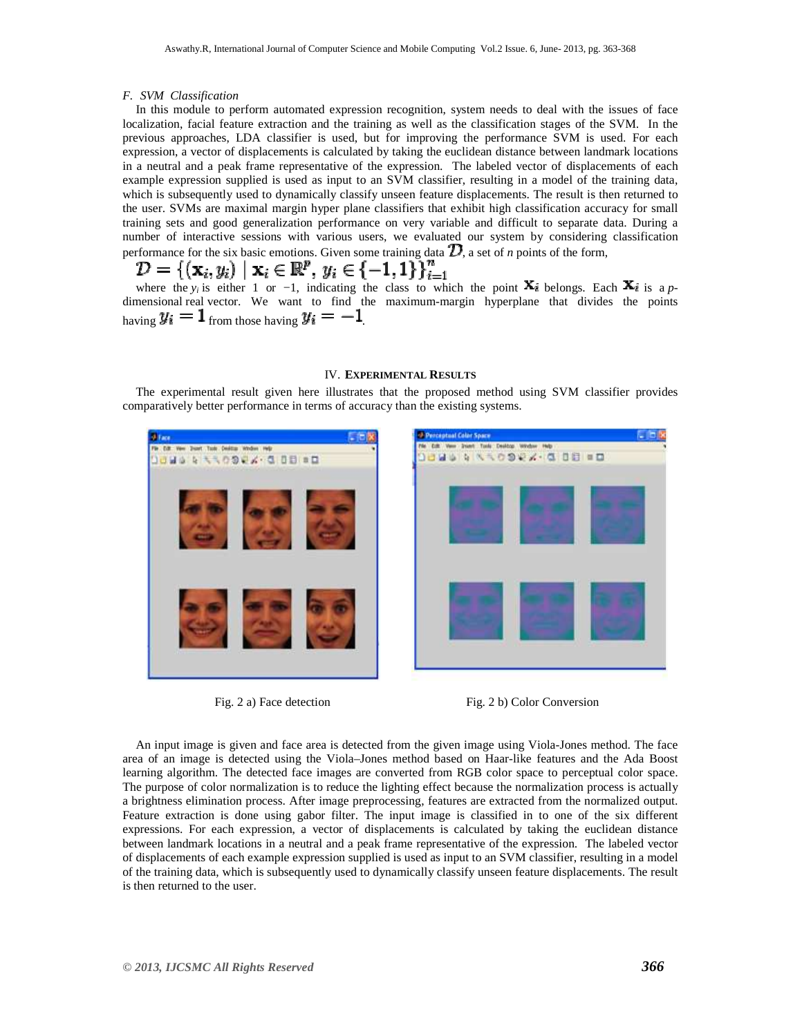#### *F. SVM Classification*

In this module to perform automated expression recognition, system needs to deal with the issues of face localization, facial feature extraction and the training as well as the classification stages of the SVM. In the previous approaches, LDA classifier is used, but for improving the performance SVM is used. For each expression, a vector of displacements is calculated by taking the euclidean distance between landmark locations in a neutral and a peak frame representative of the expression. The labeled vector of displacements of each example expression supplied is used as input to an SVM classifier, resulting in a model of the training data, which is subsequently used to dynamically classify unseen feature displacements. The result is then returned to the user. SVMs are maximal margin hyper plane classifiers that exhibit high classification accuracy for small training sets and good generalization performance on very variable and difficult to separate data. During a number of interactive sessions with various users, we evaluated our system by considering classification performance for the six basic emotions. Given some training data  $\mathcal{D}$ , a set of *n* points of the form,

$$
\mathcal{D} = \{(\mathbf{x}_i, y_i) \mid \mathbf{x}_i \in \mathbb{R}^p, y_i \in \{-1, 1\}\}_{i=1}^n
$$

where the *y<sub>i</sub>* is either 1 or −1, indicating the class to which the point  $\mathbf{X}_i$  belongs. Each  $\mathbf{X}_i$  is a *p*dimensional real vector. We want to find the maximum-margin hyperplane that divides the points having  $y_i = 1$  from those having  $y_i = -1$ .

# IV. **EXPERIMENTAL RESULTS**

The experimental result given here illustrates that the proposed method using SVM classifier provides comparatively better performance in terms of accuracy than the existing systems.





Fig. 2 a) Face detection Fig. 2 b) Color Conversion

An input image is given and face area is detected from the given image using Viola-Jones method. The face area of an image is detected using the Viola–Jones method based on Haar-like features and the Ada Boost learning algorithm. The detected face images are converted from RGB color space to perceptual color space. The purpose of color normalization is to reduce the lighting effect because the normalization process is actually a brightness elimination process. After image preprocessing, features are extracted from the normalized output. Feature extraction is done using gabor filter. The input image is classified in to one of the six different expressions. For each expression, a vector of displacements is calculated by taking the euclidean distance between landmark locations in a neutral and a peak frame representative of the expression. The labeled vector of displacements of each example expression supplied is used as input to an SVM classifier, resulting in a model of the training data, which is subsequently used to dynamically classify unseen feature displacements. The result is then returned to the user.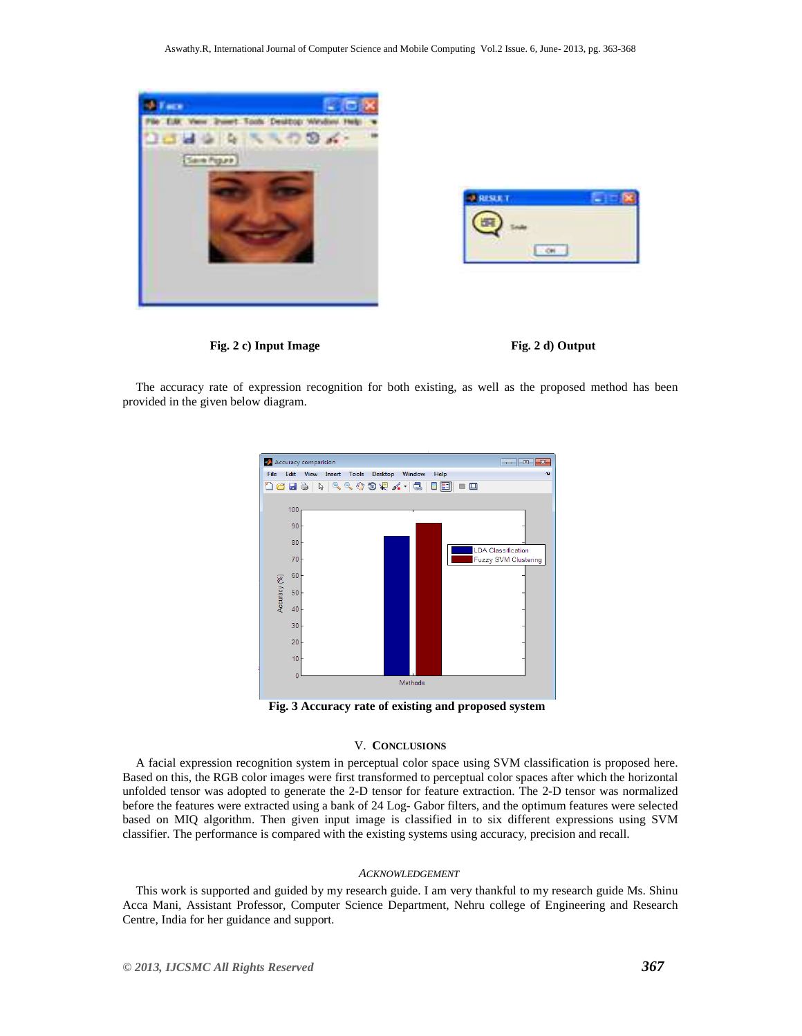





The accuracy rate of expression recognition for both existing, as well as the proposed method has been provided in the given below diagram.



**Fig. 3 Accuracy rate of existing and proposed system** 

## V. **CONCLUSIONS**

A facial expression recognition system in perceptual color space using SVM classification is proposed here. Based on this, the RGB color images were first transformed to perceptual color spaces after which the horizontal unfolded tensor was adopted to generate the 2-D tensor for feature extraction. The 2-D tensor was normalized before the features were extracted using a bank of 24 Log- Gabor filters, and the optimum features were selected based on MIQ algorithm. Then given input image is classified in to six different expressions using SVM classifier. The performance is compared with the existing systems using accuracy, precision and recall.

#### *ACKNOWLEDGEMENT*

This work is supported and guided by my research guide. I am very thankful to my research guide Ms. Shinu Acca Mani, Assistant Professor, Computer Science Department, Nehru college of Engineering and Research Centre, India for her guidance and support.